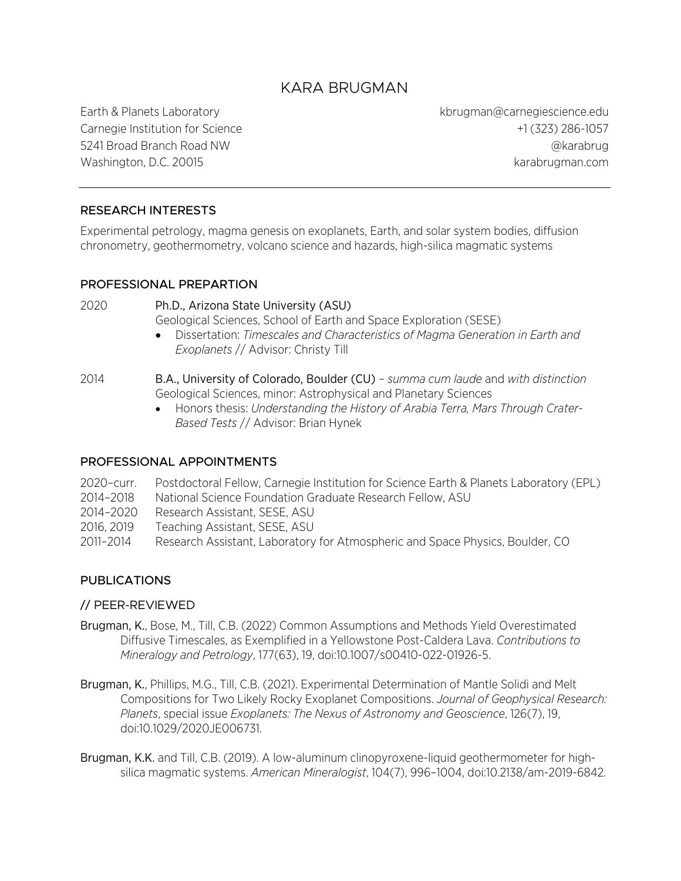# KARA BRUGMAN

Earth & Planets Laboratory kbrugman@carnegiescience.edu Carnegie Institution for Science +1 (323) 286-1057 5241 Broad Branch Road NW @karabrug Washington, D.C. 20015 karabrugman.com

#### RESEARCH INTERESTS

Experimental petrology, magma genesis on exoplanets, Earth, and solar system bodies, diffusion chronometry, geothermometry, volcano science and hazards, high-silica magmatic systems

#### PROFESSIONAL PREPARTION

2020 Ph.D., Arizona State University (ASU) Geological Sciences, School of Earth and Space Exploration (SESE)

- Dissertation: *Timescales and Characteristics of Magma Generation in Earth and Exoplanets* // Advisor: Christy Till
- 2014 B.A., University of Colorado, Boulder (CU) *summa cum laude* and *with distinction* Geological Sciences, minor: Astrophysical and Planetary Sciences
	- Honors thesis: *Understanding the History of Arabia Terra, Mars Through Crater-Based Tests* // Advisor: Brian Hynek

#### PROFESSIONAL APPOINTMENTS

| 2020-curr. | Postdoctoral Fellow, Carnegie Institution for Science Earth & Planets Laboratory (EPL) |
|------------|----------------------------------------------------------------------------------------|
|            |                                                                                        |
| 2014-2018  | National Science Foundation Graduate Research Fellow, ASU                              |
| 2014–2020  | Research Assistant, SESE, ASU                                                          |
| 2016, 2019 | Teaching Assistant, SESE, ASU                                                          |
| 2011-2014  | Research Assistant, Laboratory for Atmospheric and Space Physics, Boulder, CO          |
|            |                                                                                        |

### **PUBLICATIONS**

#### // PEER-REVIEWED

- Brugman, K., Bose, M., Till, C.B. (2022) Common Assumptions and Methods Yield Overestimated Diffusive Timescales, as Exemplified in a Yellowstone Post-Caldera Lava. *Contributions to Mineralogy and Petrology*, 177(63), 19, doi:10.1007/s00410-022-01926-5.
- Brugman, K., Phillips, M.G., Till, C.B. (2021). Experimental Determination of Mantle Solidi and Melt Compositions for Two Likely Rocky Exoplanet Compositions. *Journal of Geophysical Research: Planets*, special issue *Exoplanets: The Nexus of Astronomy and Geoscience*, 126(7), 19, doi:10.1029/2020JE006731.
- Brugman, K.K. and Till, C.B. (2019). A low-aluminum clinopyroxene-liquid geothermometer for highsilica magmatic systems. *American Mineralogist*, 104(7), 996–1004, doi:10.2138/am-2019-6842.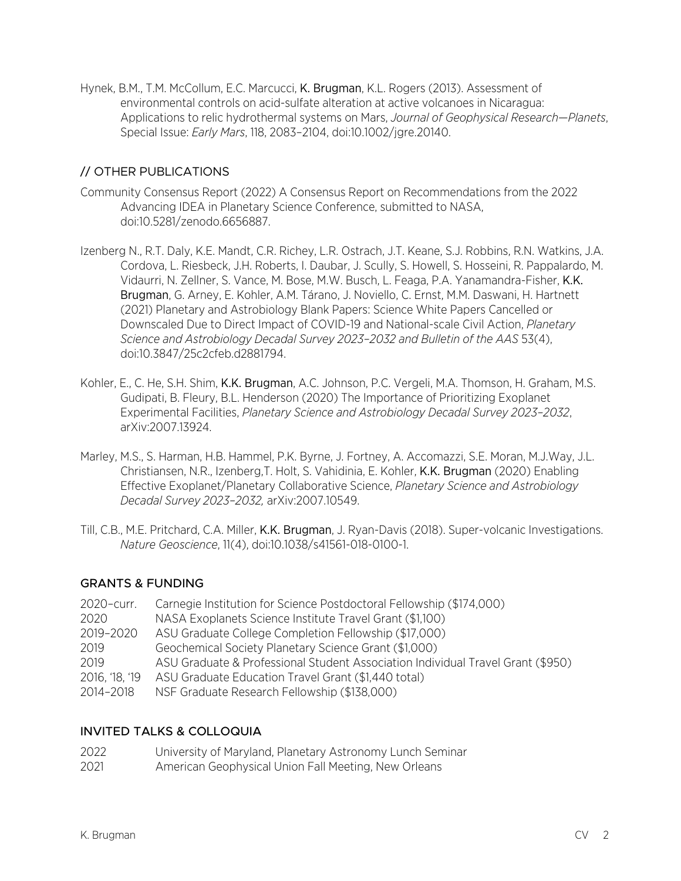Hynek, B.M., T.M. McCollum, E.C. Marcucci, K. Brugman, K.L. Rogers (2013). Assessment of environmental controls on acid-sulfate alteration at active volcanoes in Nicaragua: Applications to relic hydrothermal systems on Mars, *Journal of Geophysical Research—Planets*, Special Issue: *Early Mars*, 118, 2083–2104, doi:10.1002/jgre.20140.

### // OTHER PUBLICATIONS

- Community Consensus Report (2022) A Consensus Report on Recommendations from the 2022 Advancing IDEA in Planetary Science Conference, submitted to NASA, doi:10.5281/zenodo.6656887.
- Izenberg N., R.T. Daly, K.E. Mandt, C.R. Richey, L.R. Ostrach, J.T. Keane, S.J. Robbins, R.N. Watkins, J.A. Cordova, L. Riesbeck, J.H. Roberts, I. Daubar, J. Scully, S. Howell, S. Hosseini, R. Pappalardo, M. Vidaurri, N. Zellner, S. Vance, M. Bose, M.W. Busch, L. Feaga, P.A. Yanamandra-Fisher, K.K. Brugman, G. Arney, E. Kohler, A.M. Tárano, J. Noviello, C. Ernst, M.M. Daswani, H. Hartnett (2021) Planetary and Astrobiology Blank Papers: Science White Papers Cancelled or Downscaled Due to Direct Impact of COVID-19 and National-scale Civil Action, *Planetary Science and Astrobiology Decadal Survey 2023–2032 and Bulletin of the AAS* 53(4), doi:10.3847/25c2cfeb.d2881794.
- Kohler, E., C. He, S.H. Shim, K.K. Brugman, A.C. Johnson, P.C. Vergeli, M.A. Thomson, H. Graham, M.S. Gudipati, B. Fleury, B.L. Henderson (2020) The Importance of Prioritizing Exoplanet Experimental Facilities, *Planetary Science and Astrobiology Decadal Survey 2023–2032*, arXiv:2007.13924.
- Marley, M.S., S. Harman, H.B. Hammel, P.K. Byrne, J. Fortney, A. Accomazzi, S.E. Moran, M.J.Way, J.L. Christiansen, N.R., Izenberg,T. Holt, S. Vahidinia, E. Kohler, K.K. Brugman (2020) Enabling Effective Exoplanet/Planetary Collaborative Science, *Planetary Science and Astrobiology Decadal Survey 2023–2032,* arXiv:2007.10549.
- Till, C.B., M.E. Pritchard, C.A. Miller, K.K. Brugman, J. Ryan-Davis (2018). Super-volcanic Investigations. *Nature Geoscience*, 11(4), doi:10.1038/s41561-018-0100-1.

#### GRANTS & FUNDING

| 2020-curr.   | Carnegie Institution for Science Postdoctoral Fellowship (\$174,000)            |
|--------------|---------------------------------------------------------------------------------|
| 2020         | NASA Exoplanets Science Institute Travel Grant (\$1,100)                        |
| 2019-2020    | ASU Graduate College Completion Fellowship (\$17,000)                           |
| 2019         | Geochemical Society Planetary Science Grant (\$1,000)                           |
| 2019         | ASU Graduate & Professional Student Association Individual Travel Grant (\$950) |
| 2016, 18, 19 | ASU Graduate Education Travel Grant (\$1,440 total)                             |
| 2014-2018    | NSF Graduate Research Fellowship (\$138,000)                                    |
|              |                                                                                 |

### INVITED TALKS & COLLOQUIA

| 2022 | University of Maryland, Planetary Astronomy Lunch Seminar |
|------|-----------------------------------------------------------|
| 2021 | American Geophysical Union Fall Meeting, New Orleans      |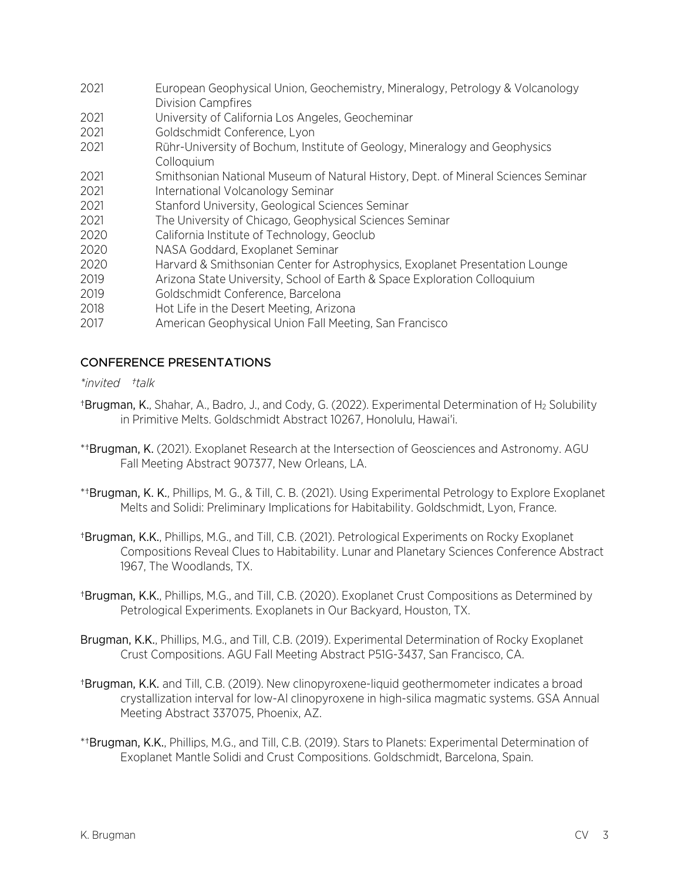- 2021 European Geophysical Union, Geochemistry, Mineralogy, Petrology & Volcanology Division Campfires
- 2021 University of California Los Angeles, Geocheminar
- 2021 Goldschmidt Conference, Lyon
- 2021 Rühr-University of Bochum, Institute of Geology, Mineralogy and Geophysics Colloquium
- 2021 Smithsonian National Museum of Natural History, Dept. of Mineral Sciences Seminar
- 2021 International Volcanology Seminar
- 2021 Stanford University, Geological Sciences Seminar
- 2021 The University of Chicago, Geophysical Sciences Seminar
- 2020 California Institute of Technology, Geoclub
- 2020 NASA Goddard, Exoplanet Seminar
- 2020 Harvard & Smithsonian Center for Astrophysics, Exoplanet Presentation Lounge
- 2019 Arizona State University, School of Earth & Space Exploration Colloquium
- 2019 Goldschmidt Conference, Barcelona
- 2018 Hot Life in the Desert Meeting, Arizona
- 2017 American Geophysical Union Fall Meeting, San Francisco

### CONFERENCE PRESENTATIONS

#### *\*invited †talk*

- †Brugman, K., Shahar, A., Badro, J., and Cody, G. (2022). Experimental Determination of H2 Solubility in Primitive Melts. Goldschmidt Abstract 10267, Honolulu, Hawai'i.
- \*†Brugman, K. (2021). Exoplanet Research at the Intersection of Geosciences and Astronomy. AGU Fall Meeting Abstract 907377, New Orleans, LA.
- \*†Brugman, K. K., Phillips, M. G., & Till, C. B. (2021). Using Experimental Petrology to Explore Exoplanet Melts and Solidi: Preliminary Implications for Habitability. Goldschmidt, Lyon, France.
- †Brugman, K.K., Phillips, M.G., and Till, C.B. (2021). Petrological Experiments on Rocky Exoplanet Compositions Reveal Clues to Habitability. Lunar and Planetary Sciences Conference Abstract 1967, The Woodlands, TX.
- †Brugman, K.K., Phillips, M.G., and Till, C.B. (2020). Exoplanet Crust Compositions as Determined by Petrological Experiments. Exoplanets in Our Backyard, Houston, TX.
- Brugman, K.K., Phillips, M.G., and Till, C.B. (2019). Experimental Determination of Rocky Exoplanet Crust Compositions. AGU Fall Meeting Abstract P51G-3437, San Francisco, CA.
- †Brugman, K.K. and Till, C.B. (2019). New clinopyroxene-liquid geothermometer indicates a broad crystallization interval for low-Al clinopyroxene in high-silica magmatic systems. GSA Annual Meeting Abstract 337075, Phoenix, AZ.
- \*†Brugman, K.K., Phillips, M.G., and Till, C.B. (2019). Stars to Planets: Experimental Determination of Exoplanet Mantle Solidi and Crust Compositions. Goldschmidt, Barcelona, Spain.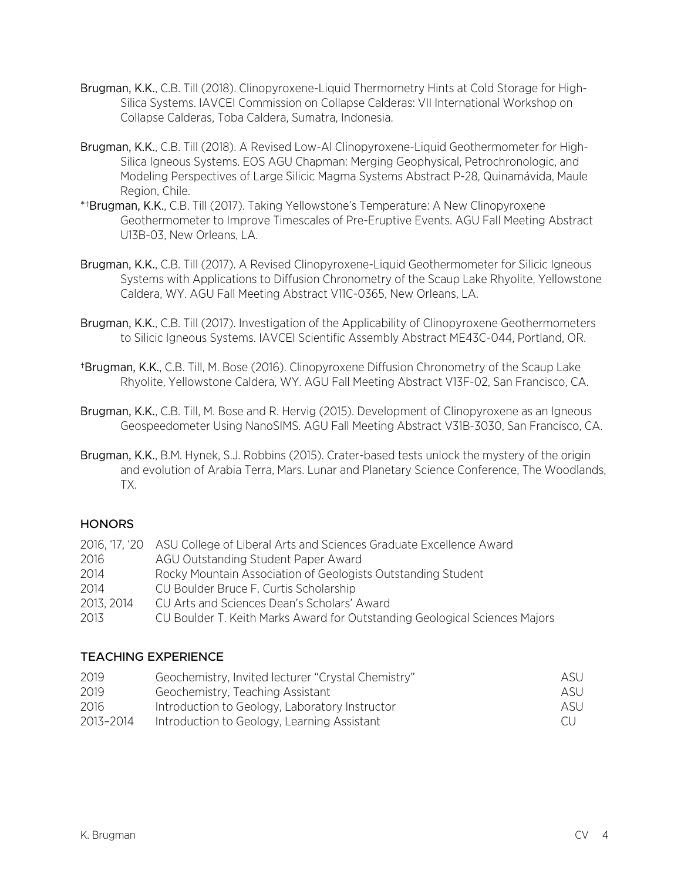- Brugman, K.K., C.B. Till (2018). Clinopyroxene-Liquid Thermometry Hints at Cold Storage for High-Silica Systems. IAVCEI Commission on Collapse Calderas: VII International Workshop on Collapse Calderas, Toba Caldera, Sumatra, Indonesia.
- Brugman, K.K., C.B. Till (2018). A Revised Low-Al Clinopyroxene-Liquid Geothermometer for High-Silica Igneous Systems. EOS AGU Chapman: Merging Geophysical, Petrochronologic, and Modeling Perspectives of Large Silicic Magma Systems Abstract P-28, Quinamávida, Maule Region, Chile.
- \*†Brugman, K.K., C.B. Till (2017). Taking Yellowstone's Temperature: A New Clinopyroxene Geothermometer to Improve Timescales of Pre-Eruptive Events. AGU Fall Meeting Abstract U13B-03, New Orleans, LA.
- Brugman, K.K., C.B. Till (2017). A Revised Clinopyroxene-Liquid Geothermometer for Silicic Igneous Systems with Applications to Diffusion Chronometry of the Scaup Lake Rhyolite, Yellowstone Caldera, WY. AGU Fall Meeting Abstract V11C-0365, New Orleans, LA.
- Brugman, K.K., C.B. Till (2017). Investigation of the Applicability of Clinopyroxene Geothermometers to Silicic Igneous Systems. IAVCEI Scientific Assembly Abstract ME43C-044, Portland, OR.
- †Brugman, K.K., C.B. Till, M. Bose (2016). Clinopyroxene Diffusion Chronometry of the Scaup Lake Rhyolite, Yellowstone Caldera, WY. AGU Fall Meeting Abstract V13F-02, San Francisco, CA.
- Brugman, K.K., C.B. Till, M. Bose and R. Hervig (2015). Development of Clinopyroxene as an Igneous Geospeedometer Using NanoSIMS. AGU Fall Meeting Abstract V31B-3030, San Francisco, CA.
- Brugman, K.K., B.M. Hynek, S.J. Robbins (2015). Crater-based tests unlock the mystery of the origin and evolution of Arabia Terra, Mars. Lunar and Planetary Science Conference, The Woodlands, TX.

### **HONORS**

|            | 2016, '17, '20 ASU College of Liberal Arts and Sciences Graduate Excellence Award |
|------------|-----------------------------------------------------------------------------------|
| 2016       | AGU Outstanding Student Paper Award                                               |
| 2014       | Rocky Mountain Association of Geologists Outstanding Student                      |
| 2014       | CU Boulder Bruce F. Curtis Scholarship                                            |
| 2013, 2014 | CU Arts and Sciences Dean's Scholars' Award                                       |
| 2013       | CU Boulder T. Keith Marks Award for Outstanding Geological Sciences Majors        |

### TEACHING EXPERIENCE

| 2019      | Geochemistry, Invited lecturer "Crystal Chemistry" | ASU |
|-----------|----------------------------------------------------|-----|
| 2019      | Geochemistry, Teaching Assistant                   | ASU |
| 2016      | Introduction to Geology, Laboratory Instructor     | ASU |
| 2013-2014 | Introduction to Geology, Learning Assistant        | CU. |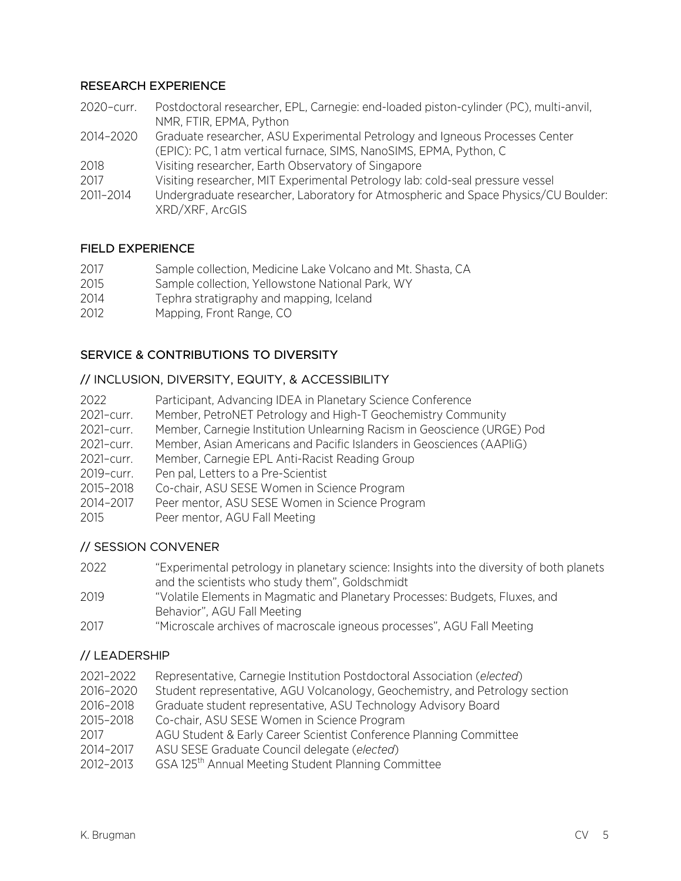#### RESEARCH EXPERIENCE

- 2020–curr. Postdoctoral researcher, EPL, Carnegie: end-loaded piston-cylinder (PC), multi-anvil, NMR, FTIR, EPMA, Python 2014–2020 Graduate researcher, ASU Experimental Petrology and Igneous Processes Center (EPIC): PC, 1 atm vertical furnace, SIMS, NanoSIMS, EPMA, Python, C
- 2018 Visiting researcher, Earth Observatory of Singapore
- 2017 Visiting researcher, MIT Experimental Petrology lab: cold-seal pressure vessel
- 2011–2014 Undergraduate researcher, Laboratory for Atmospheric and Space Physics/CU Boulder: XRD/XRF, ArcGIS

#### FIELD EXPERIENCE

| 2017 | Sample collection, Medicine Lake Volcano and Mt. Shasta, CA |
|------|-------------------------------------------------------------|
| 2015 | Sample collection, Yellowstone National Park, WY            |
| 2014 | Tephra stratigraphy and mapping, Iceland                    |
| 2012 | Mapping, Front Range, CO                                    |

### SERVICE & CONTRIBUTIONS TO DIVERSITY

#### // INCLUSION, DIVERSITY, EQUITY, & ACCESSIBILITY

| 2022       | Participant, Advancing IDEA in Planetary Science Conference             |
|------------|-------------------------------------------------------------------------|
| 2021-curr. | Member, PetroNET Petrology and High-T Geochemistry Community            |
| 2021-curr. | Member, Carnegie Institution Unlearning Racism in Geoscience (URGE) Pod |
| 2021-curr. | Member, Asian Americans and Pacific Islanders in Geosciences (AAPIiG)   |
| 2021-curr. | Member, Carnegie EPL Anti-Racist Reading Group                          |
| 2019-curr. | Pen pal, Letters to a Pre-Scientist                                     |
| 2015-2018  | Co-chair, ASU SESE Women in Science Program                             |
| 2014-2017  | Peer mentor, ASU SESE Women in Science Program                          |
| 2015       | Peer mentor, AGU Fall Meeting                                           |

#### // SESSION CONVENER

- 2022 "Experimental petrology in planetary science: Insights into the diversity of both planets and the scientists who study them", Goldschmidt
- 2019 "Volatile Elements in Magmatic and Planetary Processes: Budgets, Fluxes, and Behavior", AGU Fall Meeting
- 2017 "Microscale archives of macroscale igneous processes", AGU Fall Meeting

#### // LEADERSHIP

- 2021–2022 Representative, Carnegie Institution Postdoctoral Association (*elected*)
- 2016–2020 Student representative, AGU Volcanology, Geochemistry, and Petrology section
- 2016–2018 Graduate student representative, ASU Technology Advisory Board
- 2015–2018 Co-chair, ASU SESE Women in Science Program
- 2017 AGU Student & Early Career Scientist Conference Planning Committee
- 2014–2017 ASU SESE Graduate Council delegate (*elected*)
- 2012-2013 GSA 125<sup>th</sup> Annual Meeting Student Planning Committee